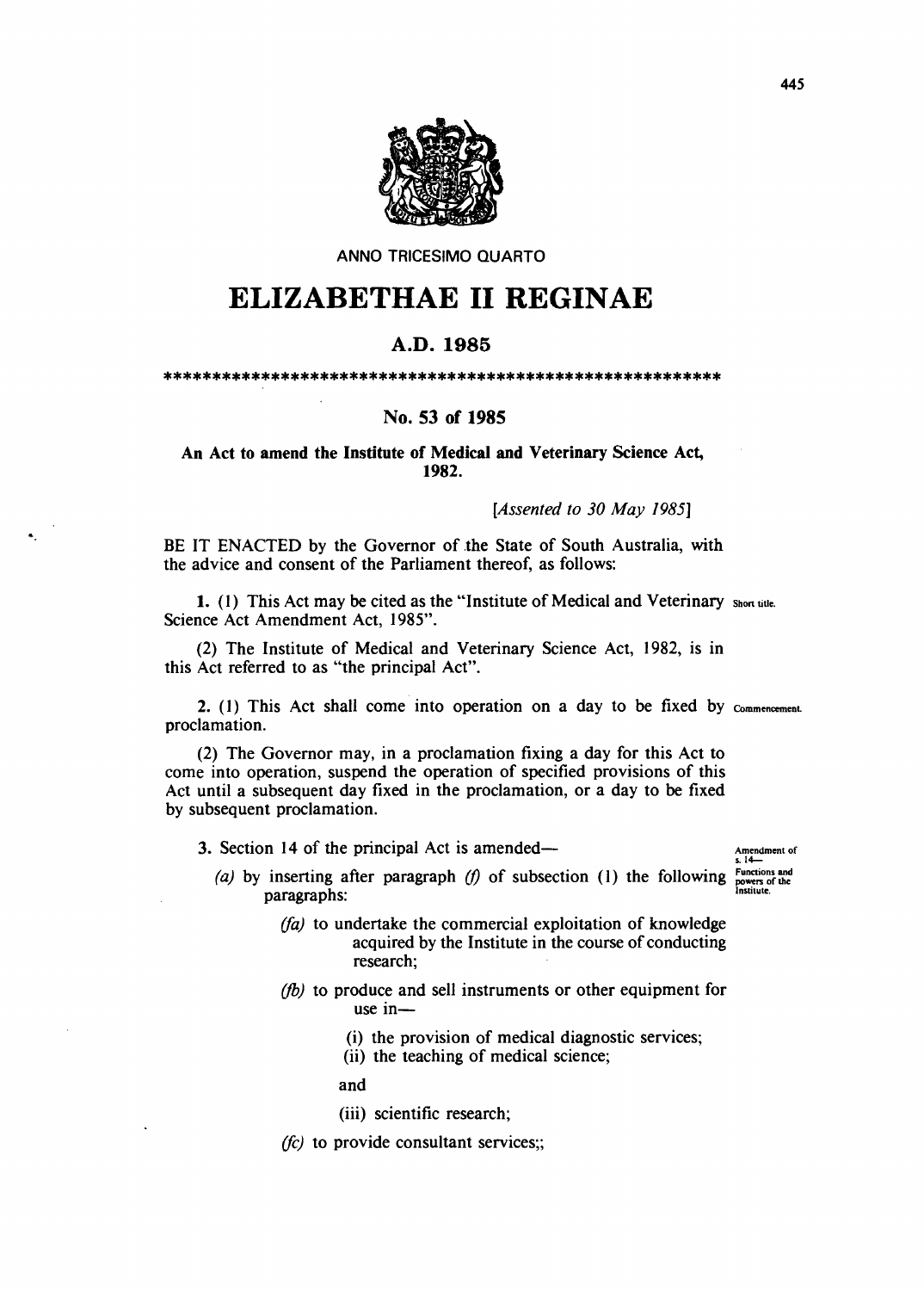

ANNO TRICESIMO QUARTO

# **ELIZABETHAE 11 REGINAE**

## A.D.1985

#### \*\*\*\*\*\*\*\*\*\*\*\*\*\*\*\*\*\*\*\*\*\*\*\*\*\*\*\*\*\*\*\*\*\*\*\*\*\*\*\*\*\*\*\*\*\*\*\*\*\*\*\*\*\*\*\*\*

## No. 53 of 1985

## An Act to amend the Institute of Medical and Veterinary Science Act, 1982.

#### *[Assented to 30 May 1985]*

BE IT ENACTED by the Governor of the State of South Australia, with the advice and consent of the Parliament thereof, as follows:

1. (1) This Act may be cited as the "Institute of Medical and Veterinary Short title. Science Act Amendment Act, 1985".

(2) The Institute of Medical and Veterinary Science Act, 1982, is in this Act referred to as "the principal Act".

2. (1) This Act shall come into operation on a day to be fixed by  $\epsilon_{\text{moment}}$ proclamation.

(2) The Governor may, in a proclamation fixing a day for this Act to come into operation, suspend the operation of specified provisions of this Act until a subsequent day fixed in the proclamation, or a day to be fixed by subsequent proclamation.

3. Section 14 of the principal Act is amended-

...

### Amendment of<br>s.14-

- (a) by inserting after paragraph  $(f)$  of subsection (1) the following paragraphs: Functions and powers of the Institute.
	- *(fa)* to undertake the commercial exploitation of knowledge acquired by the Institute in the course of conducting research;
	- *(/b)* to produce and sell instruments or other equipment for use in-
		- (i) the provision of medical diagnostic services;
		- (ii) the teaching of medical science;

and

- (iii) scientific research;
- *(fc)* to provide consultant services;;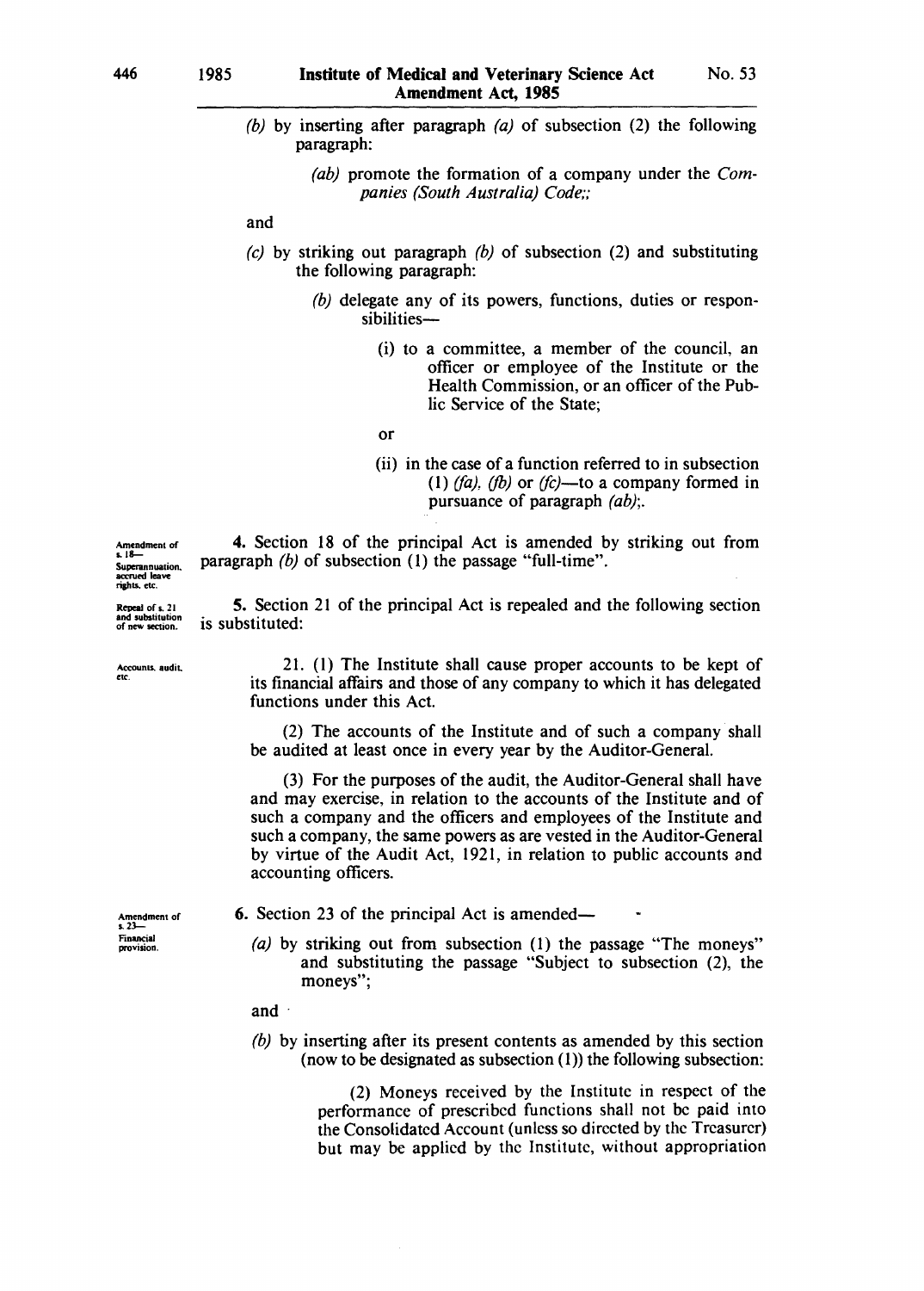- (b) by inserting after paragraph  $(a)$  of subsection (2) the following paragraph:
	- *(ab)* promote the formation of a company under the *Companies (South Australia) Code;;*

and

- (c) by striking out paragraph  $(b)$  of subsection (2) and substituting the following paragraph:
	- *(b)* delegate any of its powers, functions, duties or responsibilities-
		- (i) to a committee, a member of the council, an officer or employee of the Institute or the Health Commission, or an officer of the Public Service of the State;

or

functions under this Act.

(ii) in the case of a function referred to in subsection  $(1)$  *(fa), (fb)* or *(fc)*—to a company formed in pursuance of paragraph *(ab);.* 

4. Section 18 of the principal Act is amended by striking out from paragraph *(b)* of subsection (1) the passage "full-time".

Amendment of<br>s. 18— Superannuation. accrued leave rights. etc.

Repeal of s. 21<br>and substitution of new section.

Accounts, audit.<br>etc.

21. (1) The Institute shall cause proper accounts to be kept of its financial affairs and those of any company to which it has delegated

(2) The accounts of the Institute and of such a company shall be audited at least once in every year by the Auditor-General.

(3) For the purposes of the audit, the Auditor-General shall have and may exercise, in relation to the accounts of the Institute and of such a company and the officers and employees of the Institute and such a company, the same powers as are vested in the Auditor-General by virtue of the Audit Act, 1921, in relation to public accounts and accounting officers.

Amendment of<br>s. 23-Financial provision.

6. Section 23 of the principal Act is amended-

(a) by striking out from subsection (1) the passage "The moneys" and substituting the passage "Subject to subsection (2), the moneys";

and ·

*(b)* by inserting after its present contents as amended by this section (now to be designated as subsection  $(1)$ ) the following subsection:

> (2) Moneys received by the Institute in respect of the performance of prescribed functions shall not be paid into the Consolidated Account (unless so directed by the Treasurer) but may be applied by the Institute, without appropriation

5. Section 21 of the principal Act is repealed and the following section is substituted: